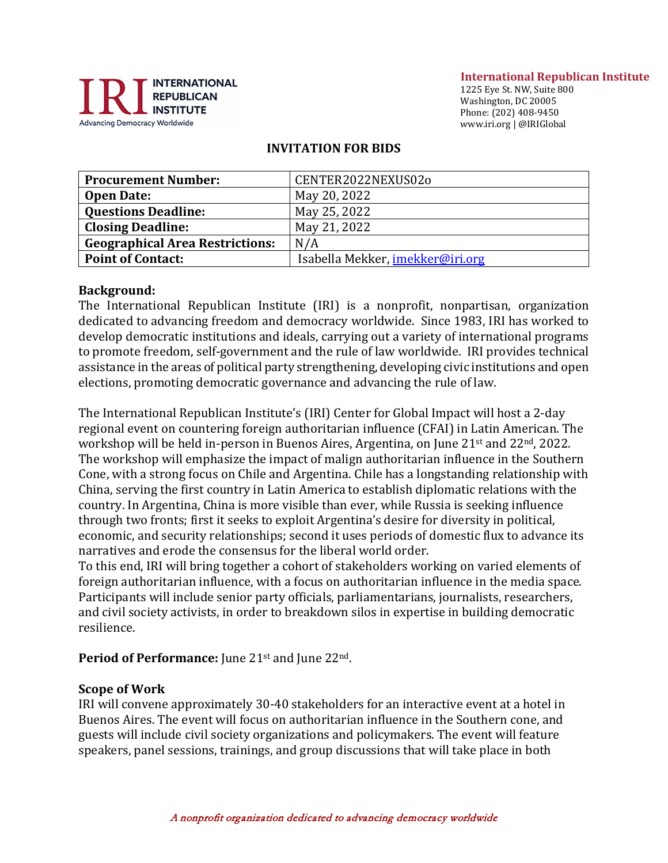

#### **International Republican Institute**

1225 Eye St. NW, Suite 800 Washington, DC 20005 Phone: (202) 408-9450 www.iri.org | @IRIGlobal

#### **INVITATION FOR BIDS**

| <b>Procurement Number:</b>             | CENTER2022NEXUS02o               |
|----------------------------------------|----------------------------------|
| <b>Open Date:</b>                      | May 20, 2022                     |
| <b>Questions Deadline:</b>             | May 25, 2022                     |
| <b>Closing Deadline:</b>               | May 21, 2022                     |
| <b>Geographical Area Restrictions:</b> | N/A                              |
| <b>Point of Contact:</b>               | Isabella Mekker, imekker@iri.org |

#### **Background:**

The International Republican Institute (IRI) is a nonprofit, nonpartisan, organization dedicated to advancing freedom and democracy worldwide. Since 1983, IRI has worked to develop democratic institutions and ideals, carrying out a variety of international programs to promote freedom, self-government and the rule of law worldwide. IRI provides technical assistance in the areas of political party strengthening, developing civic institutions and open elections, promoting democratic governance and advancing the rule of law.

The International Republican Institute's (IRI) Center for Global Impact will host a 2-day regional event on countering foreign authoritarian influence (CFAI) in Latin American. The workshop will be held in-person in Buenos Aires, Argentina, on June 21st and 22nd, 2022. The workshop will emphasize the impact of malign authoritarian influence in the Southern Cone, with a strong focus on Chile and Argentina. Chile has a longstanding relationship with China, serving the first country in Latin America to establish diplomatic relations with the country. In Argentina, China is more visible than ever, while Russia is seeking influence through two fronts; first it seeks to exploit Argentina's desire for diversity in political, economic, and security relationships; second it uses periods of domestic flux to advance its narratives and erode the consensus for the liberal world order.

To this end, IRI will bring together a cohort of stakeholders working on varied elements of foreign authoritarian influence, with a focus on authoritarian influence in the media space. Participants will include senior party officials, parliamentarians, journalists, researchers, and civil society activists, in order to breakdown silos in expertise in building democratic resilience.

#### **Period of Performance:** June 21<sup>st</sup> and June 22<sup>nd</sup>.

#### **Scope of Work**

IRI will convene approximately 30-40 stakeholders for an interactive event at a hotel in Buenos Aires. The event will focus on authoritarian influence in the Southern cone, and guests will include civil society organizations and policymakers. The event will feature speakers, panel sessions, trainings, and group discussions that will take place in both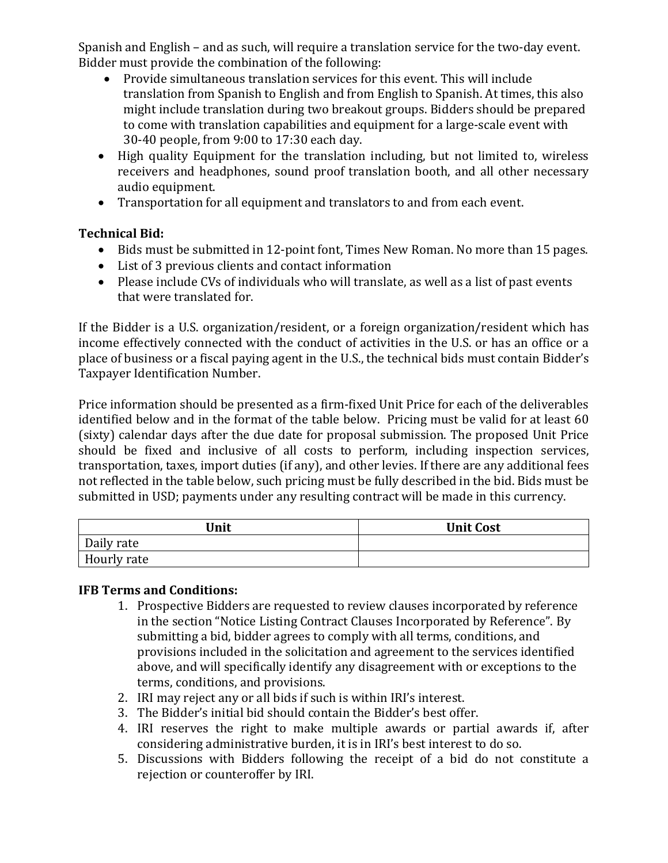Spanish and English – and as such, will require a translation service for the two-day event. Bidder must provide the combination of the following:

- Provide simultaneous translation services for this event. This will include translation from Spanish to English and from English to Spanish. At times, this also might include translation during two breakout groups. Bidders should be prepared to come with translation capabilities and equipment for a large-scale event with 30-40 people, from 9:00 to 17:30 each day.
- High quality Equipment for the translation including, but not limited to, wireless receivers and headphones, sound proof translation booth, and all other necessary audio equipment.
- Transportation for all equipment and translators to and from each event.

# **Technical Bid:**

- Bids must be submitted in 12-point font, Times New Roman. No more than 15 pages.
- List of 3 previous clients and contact information
- Please include CVs of individuals who will translate, as well as a list of past events that were translated for.

If the Bidder is a U.S. organization/resident, or a foreign organization/resident which has income effectively connected with the conduct of activities in the U.S. or has an office or a place of business or a fiscal paying agent in the U.S., the technical bids must contain Bidder's Taxpayer Identification Number.

Price information should be presented as a firm-fixed Unit Price for each of the deliverables identified below and in the format of the table below. Pricing must be valid for at least 60 (sixty) calendar days after the due date for proposal submission. The proposed Unit Price should be fixed and inclusive of all costs to perform, including inspection services, transportation, taxes, import duties (if any), and other levies. If there are any additional fees not reflected in the table below, such pricing must be fully described in the bid. Bids must be submitted in USD; payments under any resulting contract will be made in this currency.

| <b>Unit</b> | <b>Unit Cost</b> |
|-------------|------------------|
| Daily rate  |                  |
| Hourly rate |                  |

# **IFB Terms and Conditions:**

- 1. Prospective Bidders are requested to review clauses incorporated by reference in the section "Notice Listing Contract Clauses Incorporated by Reference". By submitting a bid, bidder agrees to comply with all terms, conditions, and provisions included in the solicitation and agreement to the services identified above, and will specifically identify any disagreement with or exceptions to the terms, conditions, and provisions.
- 2. IRI may reject any or all bids if such is within IRI's interest.
- 3. The Bidder's initial bid should contain the Bidder's best offer.
- 4. IRI reserves the right to make multiple awards or partial awards if, after considering administrative burden, it is in IRI's best interest to do so.
- 5. Discussions with Bidders following the receipt of a bid do not constitute a rejection or counteroffer by IRI.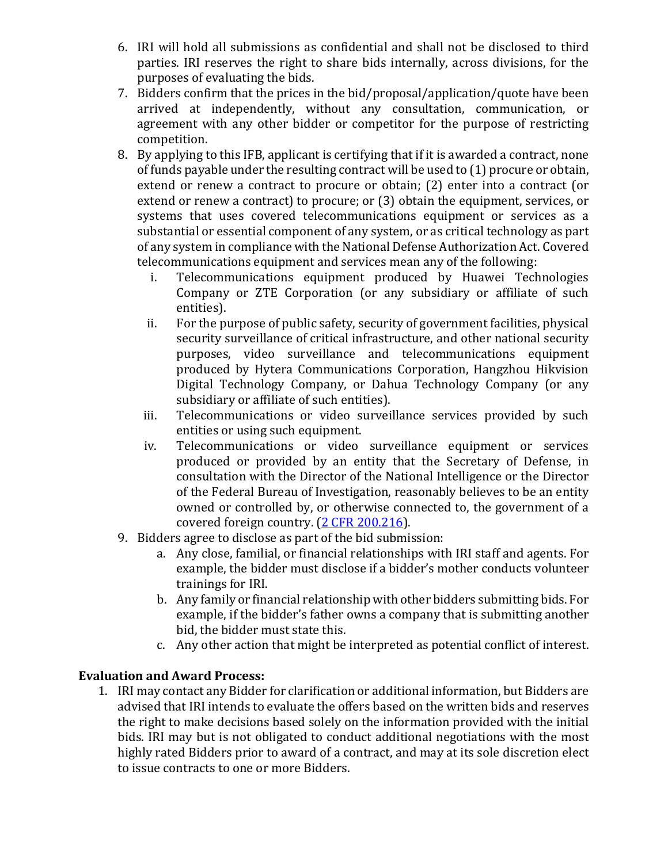- 6. IRI will hold all submissions as confidential and shall not be disclosed to third parties. IRI reserves the right to share bids internally, across divisions, for the purposes of evaluating the bids.
- 7. Bidders confirm that the prices in the bid/proposal/application/quote have been arrived at independently, without any consultation, communication, or agreement with any other bidder or competitor for the purpose of restricting competition.
- 8. By applying to this IFB, applicant is certifying that if it is awarded a contract, none of funds payable under the resulting contract will be used to (1) procure or obtain, extend or renew a contract to procure or obtain; (2) enter into a contract (or extend or renew a contract) to procure; or (3) obtain the equipment, services, or systems that uses covered telecommunications equipment or services as a substantial or essential component of any system, or as critical technology as part of any system in compliance with the National Defense Authorization Act. Covered telecommunications equipment and services mean any of the following:
	- i. Telecommunications equipment produced by Huawei Technologies Company or ZTE Corporation (or any subsidiary or affiliate of such entities).
	- ii. For the purpose of public safety, security of government facilities, physical security surveillance of critical infrastructure, and other national security purposes, video surveillance and telecommunications equipment produced by Hytera Communications Corporation, Hangzhou Hikvision Digital Technology Company, or Dahua Technology Company (or any subsidiary or affiliate of such entities).
	- iii. Telecommunications or video surveillance services provided by such entities or using such equipment.
	- iv. Telecommunications or video surveillance equipment or services produced or provided by an entity that the Secretary of Defense, in consultation with the Director of the National Intelligence or the Director of the Federal Bureau of Investigation, reasonably believes to be an entity owned or controlled by, or otherwise connected to, the government of a covered foreign country. [\(2 CFR 200.216\)](https://www.ecfr.gov/cgi-bin/text-idx?SID=be339d70a8db644c507eb86e8d0a20f4&mc=true&node=se2.1.200_1216&rgn=div8).
- 9. Bidders agree to disclose as part of the bid submission:
	- a. Any close, familial, or financial relationships with IRI staff and agents. For example, the bidder must disclose if a bidder's mother conducts volunteer trainings for IRI.
	- b. Any family or financial relationship with other bidders submitting bids. For example, if the bidder's father owns a company that is submitting another bid, the bidder must state this.
	- c. Any other action that might be interpreted as potential conflict of interest.

# **Evaluation and Award Process:**

1. IRI may contact any Bidder for clarification or additional information, but Bidders are advised that IRI intends to evaluate the offers based on the written bids and reserves the right to make decisions based solely on the information provided with the initial bids. IRI may but is not obligated to conduct additional negotiations with the most highly rated Bidders prior to award of a contract, and may at its sole discretion elect to issue contracts to one or more Bidders.